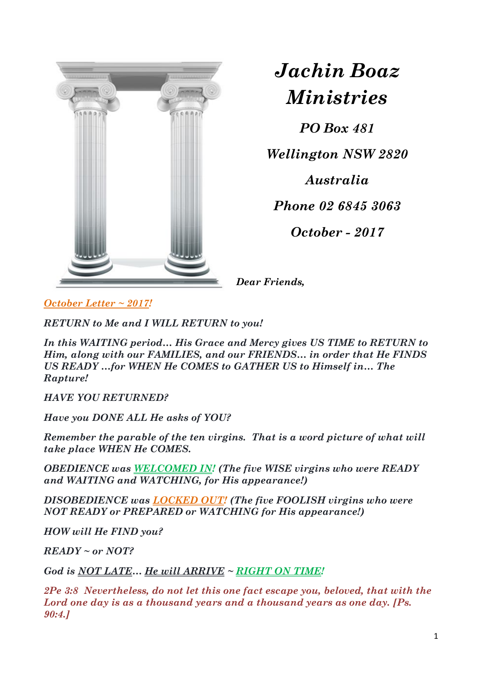

*Jachin Boaz Ministries*

*PO Box 481*

*Wellington NSW 2820*

*Australia*

*Phone 02 6845 3063*

*October - 2017*

*Dear Friends,*

*October Letter ~ 2017!*

*RETURN to Me and I WILL RETURN to you!*

*In this WAITING period… His Grace and Mercy gives US TIME to RETURN to Him, along with our FAMILIES, and our FRIENDS… in order that He FINDS US READY …for WHEN He COMES to GATHER US to Himself in… The Rapture!*

*HAVE YOU RETURNED?*

*Have you DONE ALL He asks of YOU?*

*Remember the parable of the ten virgins. That is a word picture of what will take place WHEN He COMES.*

*OBEDIENCE was WELCOMED IN! (The five WISE virgins who were READY and WAITING and WATCHING, for His appearance!)*

*DISOBEDIENCE was LOCKED OUT! (The five FOOLISH virgins who were NOT READY or PREPARED or WATCHING for His appearance!)*

*HOW will He FIND you?*

*READY ~ or NOT?*

*God is NOT LATE… He will ARRIVE ~ RIGHT ON TIME!*

*2Pe 3:8 Nevertheless, do not let this one fact escape you, beloved, that with the Lord one day is as a thousand years and a thousand years as one day. [Ps. 90:4.]*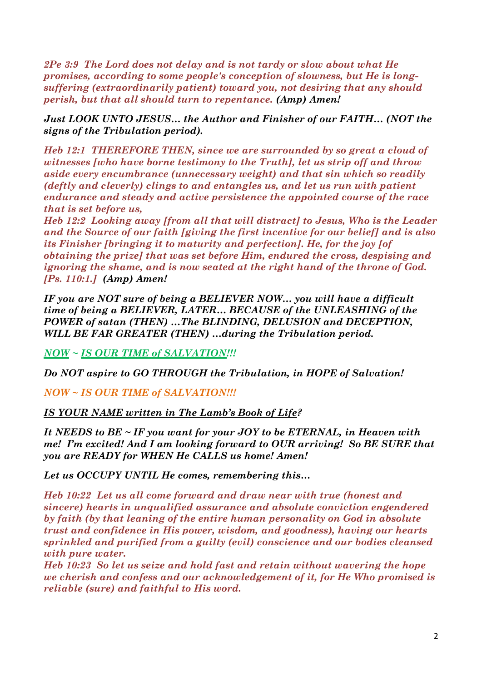*2Pe 3:9 The Lord does not delay and is not tardy or slow about what He promises, according to some people's conception of slowness, but He is longsuffering (extraordinarily patient) toward you, not desiring that any should perish, but that all should turn to repentance. (Amp) Amen!*

*Just LOOK UNTO JESUS… the Author and Finisher of our FAITH… (NOT the signs of the Tribulation period).*

*Heb 12:1 THEREFORE THEN, since we are surrounded by so great a cloud of witnesses [who have borne testimony to the Truth], let us strip off and throw aside every encumbrance (unnecessary weight) and that sin which so readily (deftly and cleverly) clings to and entangles us, and let us run with patient endurance and steady and active persistence the appointed course of the race that is set before us,* 

*Heb 12:2 Looking away [from all that will distract] to Jesus, Who is the Leader and the Source of our faith [giving the first incentive for our belief] and is also its Finisher [bringing it to maturity and perfection]. He, for the joy [of obtaining the prize] that was set before Him, endured the cross, despising and ignoring the shame, and is now seated at the right hand of the throne of God. [Ps. 110:1.] (Amp) Amen!*

*IF you are NOT sure of being a BELIEVER NOW… you will have a difficult time of being a BELIEVER, LATER… BECAUSE of the UNLEASHING of the POWER of satan (THEN) …The BLINDING, DELUSION and DECEPTION, WILL BE FAR GREATER (THEN) …during the Tribulation period.*

*NOW ~ IS OUR TIME of SALVATION!!!*

*Do NOT aspire to GO THROUGH the Tribulation, in HOPE of Salvation!*

*NOW ~ IS OUR TIME of SALVATION!!!*

*IS YOUR NAME written in The Lamb's Book of Life?*

*It NEEDS to BE ~ IF you want for your JOY to be ETERNAL, in Heaven with me! I'm excited! And I am looking forward to OUR arriving! So BE SURE that you are READY for WHEN He CALLS us home! Amen!*

*Let us OCCUPY UNTIL He comes, remembering this…*

*Heb 10:22 Let us all come forward and draw near with true (honest and sincere) hearts in unqualified assurance and absolute conviction engendered by faith (by that leaning of the entire human personality on God in absolute trust and confidence in His power, wisdom, and goodness), having our hearts sprinkled and purified from a guilty (evil) conscience and our bodies cleansed with pure water.* 

*Heb 10:23 So let us seize and hold fast and retain without wavering the hope we cherish and confess and our acknowledgement of it, for He Who promised is reliable (sure) and faithful to His word.*